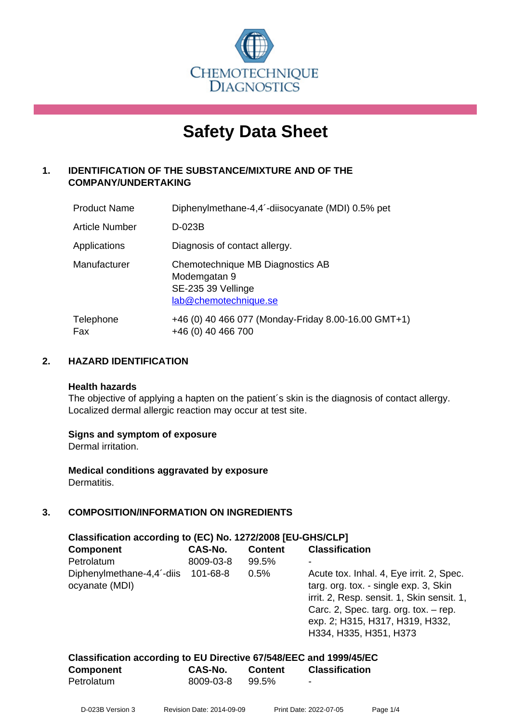

# **Safety Data Sheet**

# **1. IDENTIFICATION OF THE SUBSTANCE/MIXTURE AND OF THE COMPANY/UNDERTAKING**

| <b>Product Name</b> | Diphenylmethane-4,4 <sup>-</sup> -diisocyanate (MDI) 0.5% pet                                   |
|---------------------|-------------------------------------------------------------------------------------------------|
| Article Number      | D-023B                                                                                          |
| Applications        | Diagnosis of contact allergy.                                                                   |
| Manufacturer        | Chemotechnique MB Diagnostics AB<br>Modemgatan 9<br>SE-235 39 Vellinge<br>lab@chemotechnique.se |
| Telephone<br>Fax    | +46 (0) 40 466 077 (Monday-Friday 8.00-16.00 GMT+1)<br>+46 (0) 40 466 700                       |

# **2. HAZARD IDENTIFICATION**

#### **Health hazards**

The objective of applying a hapten on the patient's skin is the diagnosis of contact allergy. Localized dermal allergic reaction may occur at test site.

## **Signs and symptom of exposure**

Dermal irritation.

**Medical conditions aggravated by exposure** Dermatitis.

# **3. COMPOSITION/INFORMATION ON INGREDIENTS**

| Classification according to (EC) No. 1272/2008 [EU-GHS/CLP] |           |                |                                                                                                                                                                                                                                         |  |  |
|-------------------------------------------------------------|-----------|----------------|-----------------------------------------------------------------------------------------------------------------------------------------------------------------------------------------------------------------------------------------|--|--|
| <b>Component</b>                                            | CAS-No.   | <b>Content</b> | <b>Classification</b>                                                                                                                                                                                                                   |  |  |
| Petrolatum                                                  | 8009-03-8 | 99.5%          |                                                                                                                                                                                                                                         |  |  |
| Diphenylmethane-4,4'-diis 101-68-8<br>ocyanate (MDI)        |           | 0.5%           | Acute tox. Inhal. 4, Eye irrit. 2, Spec.<br>targ. org. tox. - single exp. 3, Skin<br>irrit. 2, Resp. sensit. 1, Skin sensit. 1,<br>Carc. 2, Spec. targ. org. tox. $-$ rep.<br>exp. 2; H315, H317, H319, H332,<br>H334, H335, H351, H373 |  |  |

| Classification according to EU Directive 67/548/EEC and 1999/45/EC |           |                |                       |  |  |
|--------------------------------------------------------------------|-----------|----------------|-----------------------|--|--|
| Component                                                          | CAS-No.   | <b>Content</b> | <b>Classification</b> |  |  |
| Petrolatum                                                         | 8009-03-8 | 99.5%          | -                     |  |  |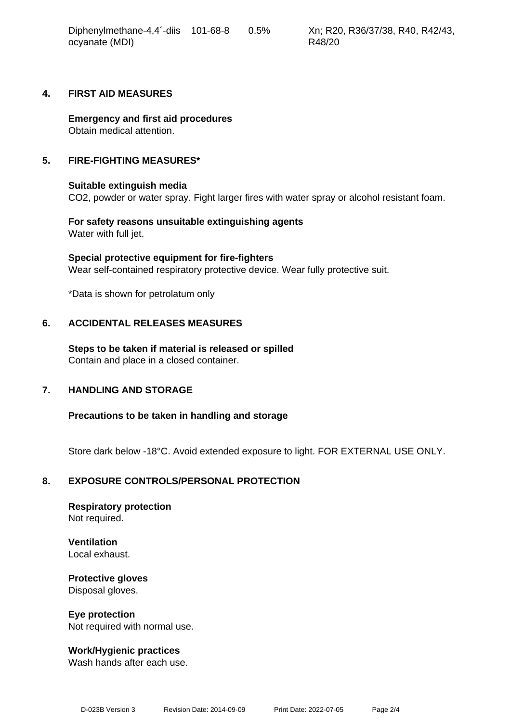| Diphenylmethane-4,4 <sup>-</sup> -diis | 101-68-8 | $0.5\%$ |
|----------------------------------------|----------|---------|
| ocyanate (MDI)                         |          |         |

#### **4. FIRST AID MEASURES**

**Emergency and first aid procedures** Obtain medical attention.

#### **5. FIRE-FIGHTING MEASURES\***

#### **Suitable extinguish media**

CO2, powder or water spray. Fight larger fires with water spray or alcohol resistant foam.

**For safety reasons unsuitable extinguishing agents** Water with full jet.

**Special protective equipment for fire-fighters** Wear self-contained respiratory protective device. Wear fully protective suit.

\*Data is shown for petrolatum only

#### **6. ACCIDENTAL RELEASES MEASURES**

**Steps to be taken if material is released or spilled** Contain and place in a closed container.

## **7. HANDLING AND STORAGE**

**Precautions to be taken in handling and storage**

Store dark below -18°C. Avoid extended exposure to light. FOR EXTERNAL USE ONLY.

## **8. EXPOSURE CONTROLS/PERSONAL PROTECTION**

**Respiratory protection** Not required.

**Ventilation** Local exhaust.

**Protective gloves** Disposal gloves.

#### **Eye protection**

Not required with normal use.

## **Work/Hygienic practices**

Wash hands after each use.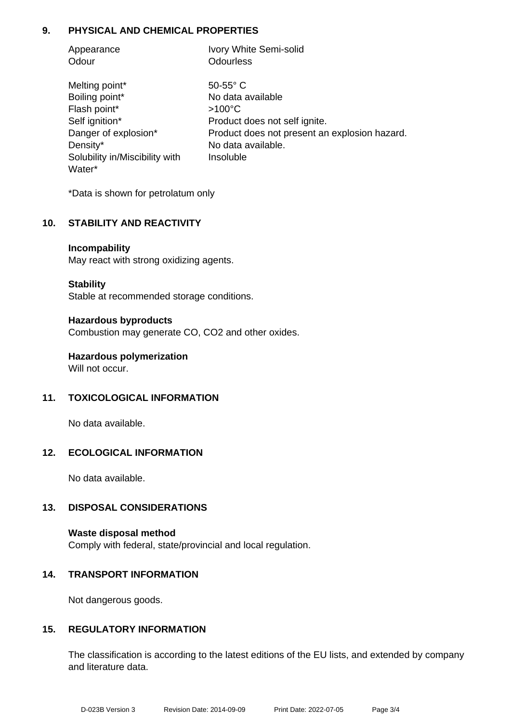# **9. PHYSICAL AND CHEMICAL PROPERTIES**

| Appearance | Ivory White Semi-solid |
|------------|------------------------|
| Odour      | Odourless              |

Melting point\* 50-55° C Boiling point\* No data available Flash point\* >100°C Density\* No data available. Solubility in/Miscibility with Water\*

Self ignition\* Product does not self ignite. Danger of explosion\* Product does not present an explosion hazard. Insoluble

\*Data is shown for petrolatum only

# **10. STABILITY AND REACTIVITY**

#### **Incompability**

May react with strong oxidizing agents.

#### **Stability**

Stable at recommended storage conditions.

#### **Hazardous byproducts**

Combustion may generate CO, CO2 and other oxides.

**Hazardous polymerization** Will not occur.

## **11. TOXICOLOGICAL INFORMATION**

No data available.

## **12. ECOLOGICAL INFORMATION**

No data available.

## **13. DISPOSAL CONSIDERATIONS**

**Waste disposal method** Comply with federal, state/provincial and local regulation.

## **14. TRANSPORT INFORMATION**

Not dangerous goods.

## **15. REGULATORY INFORMATION**

The classification is according to the latest editions of the EU lists, and extended by company and literature data.